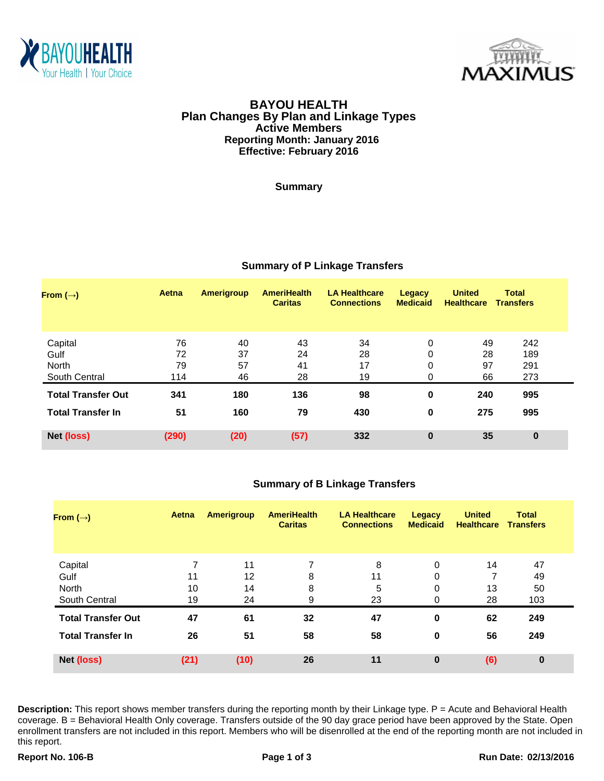



#### **Plan Changes By Plan and Linkage Types Effective: February 2016 Active Members BAYOU HEALTH Reporting Month: January 2016**

#### **Summary**

## **Summary of P Linkage Transfers**

| From $(\rightarrow)$      | Aetna | <b>Amerigroup</b> | <b>AmeriHealth</b><br><b>Caritas</b> | <b>LA Healthcare</b><br><b>Connections</b> | Legacy<br><b>Medicaid</b> | <b>United</b><br><b>Healthcare</b> | <b>Total</b><br><b>Transfers</b> |
|---------------------------|-------|-------------------|--------------------------------------|--------------------------------------------|---------------------------|------------------------------------|----------------------------------|
| Capital                   | 76    | 40                | 43                                   | 34                                         | $\mathbf 0$               | 49                                 | 242                              |
| Gulf                      | 72    | 37                | 24                                   | 28                                         | $\mathbf 0$               | 28                                 | 189                              |
| <b>North</b>              | 79    | 57                | 41                                   | 17                                         | 0                         | 97                                 | 291                              |
| South Central             | 114   | 46                | 28                                   | 19                                         | 0                         | 66                                 | 273                              |
| <b>Total Transfer Out</b> | 341   | 180               | 136                                  | 98                                         | 0                         | 240                                | 995                              |
| <b>Total Transfer In</b>  | 51    | 160               | 79                                   | 430                                        | 0                         | 275                                | 995                              |
| Net (loss)                | (290) | (20)              | (57)                                 | 332                                        | $\bf{0}$                  | 35                                 | $\bf{0}$                         |

## **Summary of B Linkage Transfers**

| From $(\rightarrow)$      | Aetna | Amerigroup | <b>AmeriHealth</b><br><b>Caritas</b> | <b>LA Healthcare</b><br><b>Connections</b> | <b>Legacy</b><br><b>Medicaid</b> | <b>United</b><br><b>Healthcare</b> | <b>Total</b><br><b>Transfers</b> |
|---------------------------|-------|------------|--------------------------------------|--------------------------------------------|----------------------------------|------------------------------------|----------------------------------|
| Capital                   | 7     | 11         |                                      | 8                                          | 0                                | 14                                 | 47                               |
| Gulf                      | 11    | 12         | 8                                    | 11                                         | 0                                | 7                                  | 49                               |
| North                     | 10    | 14         | 8                                    | 5                                          | 0                                | 13                                 | 50                               |
| South Central             | 19    | 24         | 9                                    | 23                                         | 0                                | 28                                 | 103                              |
| <b>Total Transfer Out</b> | 47    | 61         | 32                                   | 47                                         | $\mathbf 0$                      | 62                                 | 249                              |
| <b>Total Transfer In</b>  | 26    | 51         | 58                                   | 58                                         | 0                                | 56                                 | 249                              |
| Net (loss)                | (21)  | (10)       | 26                                   | 11                                         | $\bf{0}$                         | (6)                                | $\bf{0}$                         |

**Description:** This report shows member transfers during the reporting month by their Linkage type. P = Acute and Behavioral Health coverage. B = Behavioral Health Only coverage. Transfers outside of the 90 day grace period have been approved by the State. Open enrollment transfers are not included in this report. Members who will be disenrolled at the end of the reporting month are not included in this report.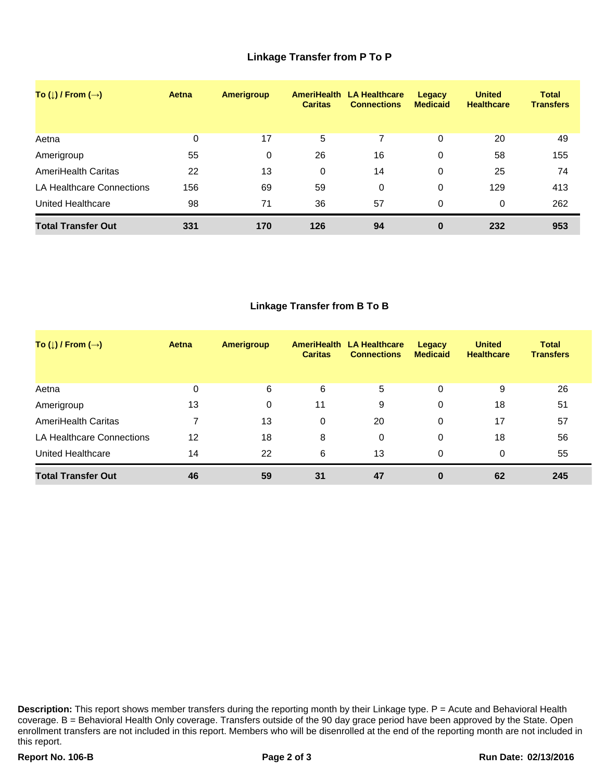## **Linkage Transfer from P To P**

| To ( $\downarrow$ ) / From ( $\rightarrow$ ) | Aetna | <b>Amerigroup</b> | <b>AmeriHealth</b><br><b>Caritas</b> | <b>LA Healthcare</b><br><b>Connections</b> | Legacy<br><b>Medicaid</b> | <b>United</b><br><b>Healthcare</b> | <b>Total</b><br><b>Transfers</b> |
|----------------------------------------------|-------|-------------------|--------------------------------------|--------------------------------------------|---------------------------|------------------------------------|----------------------------------|
| Aetna                                        | 0     | 17                | 5                                    | 7                                          | 0                         | 20                                 | 49                               |
| Amerigroup                                   | 55    | 0                 | 26                                   | 16                                         | 0                         | 58                                 | 155                              |
| AmeriHealth Caritas                          | 22    | 13                | 0                                    | 14                                         | $\mathbf 0$               | 25                                 | 74                               |
| LA Healthcare Connections                    | 156   | 69                | 59                                   | 0                                          | $\Omega$                  | 129                                | 413                              |
| United Healthcare                            | 98    | 71                | 36                                   | 57                                         | $\Omega$                  | 0                                  | 262                              |
| <b>Total Transfer Out</b>                    | 331   | 170               | 126                                  | 94                                         | $\bf{0}$                  | 232                                | 953                              |

#### **Linkage Transfer from B To B**

| To ( $\downarrow$ ) / From ( $\rightarrow$ ) | Aetna | Amerigroup | <b>Caritas</b> | AmeriHealth LA Healthcare<br><b>Connections</b> | Legacy<br><b>Medicaid</b> | <b>United</b><br><b>Healthcare</b> | <b>Total</b><br><b>Transfers</b> |
|----------------------------------------------|-------|------------|----------------|-------------------------------------------------|---------------------------|------------------------------------|----------------------------------|
| Aetna                                        | 0     | 6          | 6              | 5                                               | 0                         | 9                                  | 26                               |
| Amerigroup                                   | 13    | 0          | 11             | 9                                               | 0                         | 18                                 | 51                               |
| AmeriHealth Caritas                          |       | 13         | 0              | 20                                              | 0                         | 17                                 | 57                               |
| LA Healthcare Connections                    | 12    | 18         | 8              | 0                                               | 0                         | 18                                 | 56                               |
| United Healthcare                            | 14    | 22         | 6              | 13                                              | 0                         | $\Omega$                           | 55                               |
| <b>Total Transfer Out</b>                    | 46    | 59         | 31             | 47                                              | 0                         | 62                                 | 245                              |

**Description:** This report shows member transfers during the reporting month by their Linkage type. P = Acute and Behavioral Health coverage. B = Behavioral Health Only coverage. Transfers outside of the 90 day grace period have been approved by the State. Open enrollment transfers are not included in this report. Members who will be disenrolled at the end of the reporting month are not included in this report.